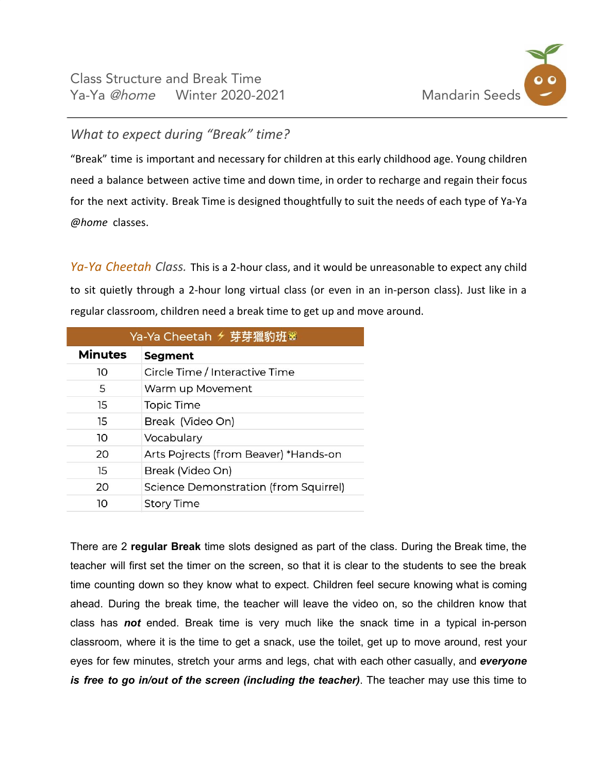

## *What to expect during "Break" time?*

"Break" time is important and necessary for children at this early childhood age. Young children need a balance between active time and down time, in order to recharge and regain their focus for the next activity. Break Time is designed thoughtfully to suit the needs of each type of Ya-Ya *@home* classes.

*Ya-Ya Cheetah Class.* This is a 2-hour class, and it would be unreasonable to expect any child to sit quietly through a 2-hour long virtual class (or even in an in-person class). Just like in a regular classroom, children need a break time to get up and move around.

| Ya-Ya Cheetah <del>୵</del> 芽猪豹班® |                                       |  |  |
|----------------------------------|---------------------------------------|--|--|
| <b>Minutes</b>                   | <b>Segment</b>                        |  |  |
| 10                               | Circle Time / Interactive Time        |  |  |
| 5                                | Warm up Movement                      |  |  |
| 15                               | Topic Time                            |  |  |
| 15                               | Break (Video On)                      |  |  |
| 10                               | Vocabulary                            |  |  |
| 20                               | Arts Pojrects (from Beaver) *Hands-on |  |  |
| 15                               | Break (Video On)                      |  |  |
| 20                               | Science Demonstration (from Squirrel) |  |  |
| 10                               | <b>Story Time</b>                     |  |  |

There are 2 **regular Break** time slots designed as part of the class. During the Break time, the teacher will first set the timer on the screen, so that it is clear to the students to see the break time counting down so they know what to expect. Children feel secure knowing what is coming ahead. During the break time, the teacher will leave the video on, so the children know that class has *not* ended. Break time is very much like the snack time in a typical in-person classroom, where it is the time to get a snack, use the toilet, get up to move around, rest your eyes for few minutes, stretch your arms and legs, chat with each other casually, and *everyone is free to go in/out of the screen (including the teacher)*. The teacher may use this time to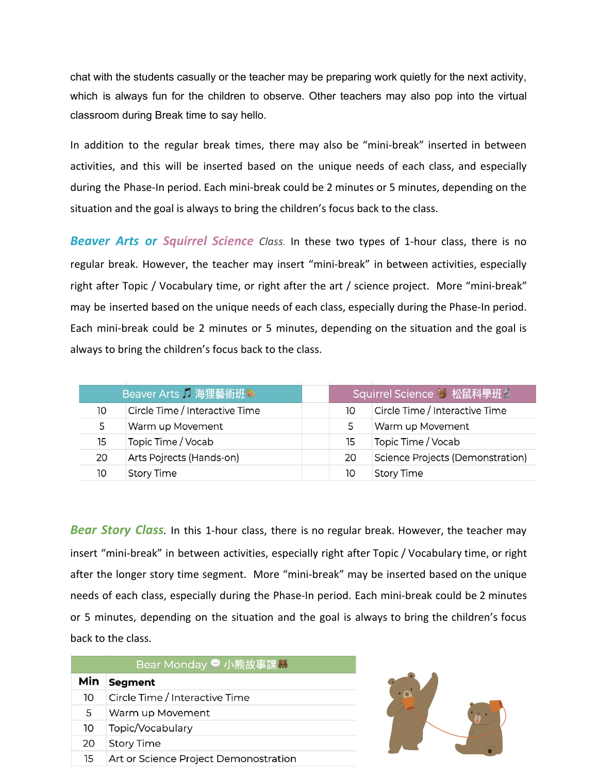chat with the students casually or the teacher may be preparing work quietly for the next activity, which is always fun for the children to observe. Other teachers may also pop into the virtual classroom during Break time to say hello.

In addition to the regular break times, there may also be "mini-break" inserted in between activities, and this will be inserted based on the unique needs of each class, and especially during the Phase-In period. Each mini-break could be 2 minutes or 5 minutes, depending on the situation and the goal is always to bring the children's focus back to the class.

*Beaver Arts or Squirrel Science Class.* In these two types of 1-hour class, there is no regular break. However, the teacher may insert "mini-break" in between activities, especially right after Topic / Vocabulary time, or right after the art / science project. More "mini-break" may be inserted based on the unique needs of each class, especially during the Phase-In period. Each mini-break could be 2 minutes or 5 minutes, depending on the situation and the goal is always to bring the children's focus back to the class.

| Beaver Arts 1 海狸藝術班家 |                                |    |                                  |
|----------------------|--------------------------------|----|----------------------------------|
| 10                   | Circle Time / Interactive Time | 10 | Circle Time / Interactive Time   |
| 5                    | Warm up Movement               | 5  | Warm up Movement                 |
| 15                   | Topic Time / Vocab             | 15 | Topic Time / Vocab               |
| 20                   | Arts Pojrects (Hands-on)       | 20 | Science Projects (Demonstration) |
| 10                   | <b>Story Time</b>              | 10 | <b>Story Time</b>                |

*Bear Story Class.* In this 1-hour class, there is no regular break. However, the teacher may insert "mini-break" in between activities, especially right after Topic / Vocabulary time, or right after the longer story time segment. More "mini-break" may be inserted based on the unique needs of each class, especially during the Phase-In period. Each mini-break could be 2 minutes or 5 minutes, depending on the situation and the goal is always to bring the children's focus back to the class.

| Bear Monday 小熊故事課3 |                                       |  |  |  |
|--------------------|---------------------------------------|--|--|--|
| Min                | <b>Segment</b>                        |  |  |  |
| 10                 | Circle Time / Interactive Time        |  |  |  |
| 5                  | Warm up Movement                      |  |  |  |
| 10                 | Topic/Vocabulary                      |  |  |  |
| 20                 | <b>Story Time</b>                     |  |  |  |
| 15                 | Art or Science Project Demonostration |  |  |  |